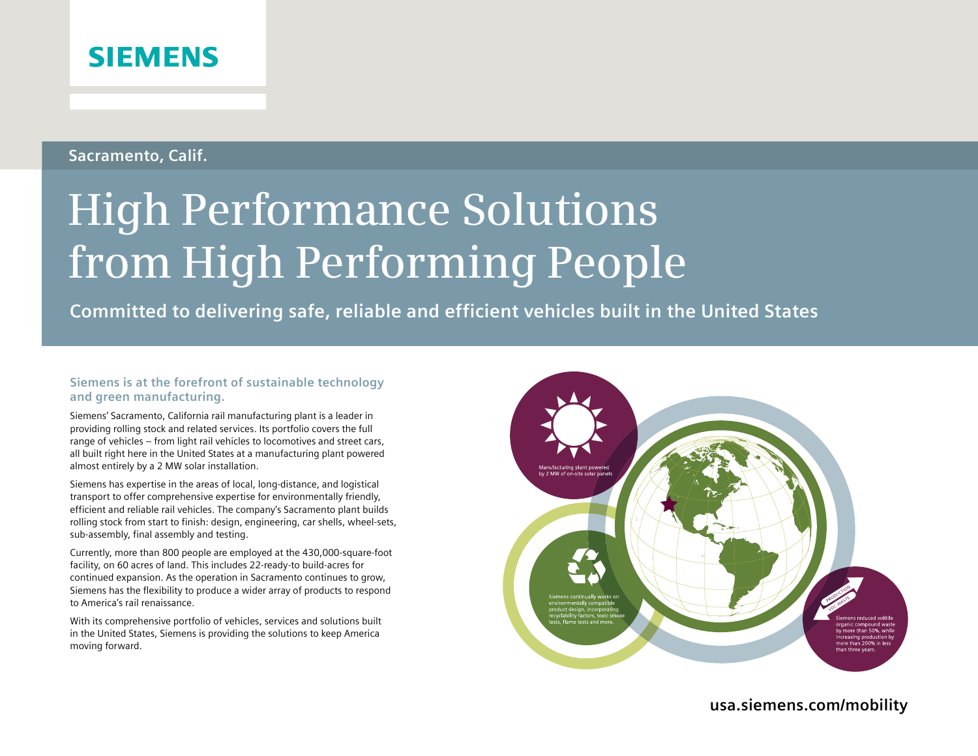## **SIEMENS**

### **Sacramento, Calif.**

# **High Performance Solutions from High Performing People**

**Committed to delivering safe, reliable and efficient vehicles built in the United States**

#### **Siemens is at the forefront of sustainable technology and green manufacturing.**

Siemens' Sacramento, California rail manufacturing plant is a leader in providing rolling stock and related services. Its portfolio covers the full range of vehicles – from light rail vehicles to locomotives and street cars, all built right here in the United States at a manufacturing plant powered almost entirely by a 2 MW solar installation.

Siemens has expertise in the areas of local, long-distance, and logistical transport to offer comprehensive expertise for environmentally friendly, efficient and reliable rail vehicles. The company's Sacramento plant builds rolling stock from start to finish: design, engineering, car shells, wheel-sets, sub-assembly, final assembly and testing.

Currently, more than 800 people are employed at the 430,000-square-foot facility, on 60 acres of land. This includes 22-ready-to build-acres for continued expansion. As the operation in Sacramento continues to grow, Siemens has the flexibility to produce a wider array of products to respond to America's rail renaissance.

With its comprehensive portfolio of vehicles, services and solutions built in the United States, Siemens is providing the solutions to keep America moving forward.



**usa.siemens.com/mobility**